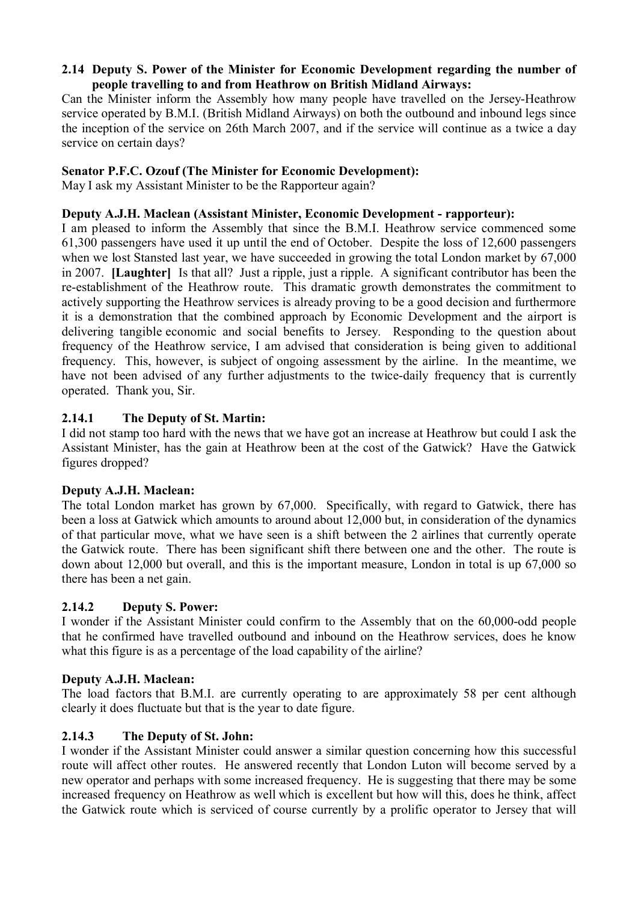## **2.14 Deputy S. Power of the Minister for Economic Development regarding the number of people travelling to and from Heathrow on British Midland Airways:**

Can the Minister inform the Assembly how many people have travelled on the Jersey-Heathrow service operated by B.M.I. (British Midland Airways) on both the outbound and inbound legs since the inception of the service on 26th March 2007, and if the service will continue as a twice a day service on certain days?

## **Senator P.F.C. Ozouf (The Minister for Economic Development):**

May I ask my Assistant Minister to be the Rapporteur again?

## **Deputy A.J.H. Maclean (Assistant Minister, Economic Development - rapporteur):**

 in 2007. **[Laughter]** Is that all? Just a ripple, just a ripple. A significant contributor has been the I am pleased to inform the Assembly that since the B.M.I. Heathrow service commenced some 61,300 passengers have used it up until the end of October. Despite the loss of 12,600 passengers when we lost Stansted last year, we have succeeded in growing the total London market by 67,000 re-establishment of the Heathrow route. This dramatic growth demonstrates the commitment to actively supporting the Heathrow services is already proving to be a good decision and furthermore it is a demonstration that the combined approach by Economic Development and the airport is delivering tangible economic and social benefits to Jersey. Responding to the question about frequency of the Heathrow service, I am advised that consideration is being given to additional frequency. This, however, is subject of ongoing assessment by the airline. In the meantime, we have not been advised of any further adjustments to the twice-daily frequency that is currently operated. Thank you, Sir.

# **2.14.1 The Deputy of St. Martin:**

I did not stamp too hard with the news that we have got an increase at Heathrow but could I ask the Assistant Minister, has the gain at Heathrow been at the cost of the Gatwick? Have the Gatwick figures dropped?

## **Deputy A.J.H. Maclean:**

The total London market has grown by 67,000. Specifically, with regard to Gatwick, there has been a loss at Gatwick which amounts to around about 12,000 but, in consideration of the dynamics of that particular move, what we have seen is a shift between the 2 airlines that currently operate the Gatwick route. There has been significant shift there between one and the other. The route is down about 12,000 but overall, and this is the important measure, London in total is up 67,000 so there has been a net gain.

# **2.14.2 Deputy S. Power:**

I wonder if the Assistant Minister could confirm to the Assembly that on the 60,000-odd people that he confirmed have travelled outbound and inbound on the Heathrow services, does he know what this figure is as a percentage of the load capability of the airline?

## **Deputy A.J.H. Maclean:**

The load factors that B.M.I. are currently operating to are approximately 58 per cent although clearly it does fluctuate but that is the year to date figure.

# **2.14.3 The Deputy of St. John:**

I wonder if the Assistant Minister could answer a similar question concerning how this successful route will affect other routes. He answered recently that London Luton will become served by a new operator and perhaps with some increased frequency. He is suggesting that there may be some increased frequency on Heathrow as well which is excellent but how will this, does he think, affect the Gatwick route which is serviced of course currently by a prolific operator to Jersey that will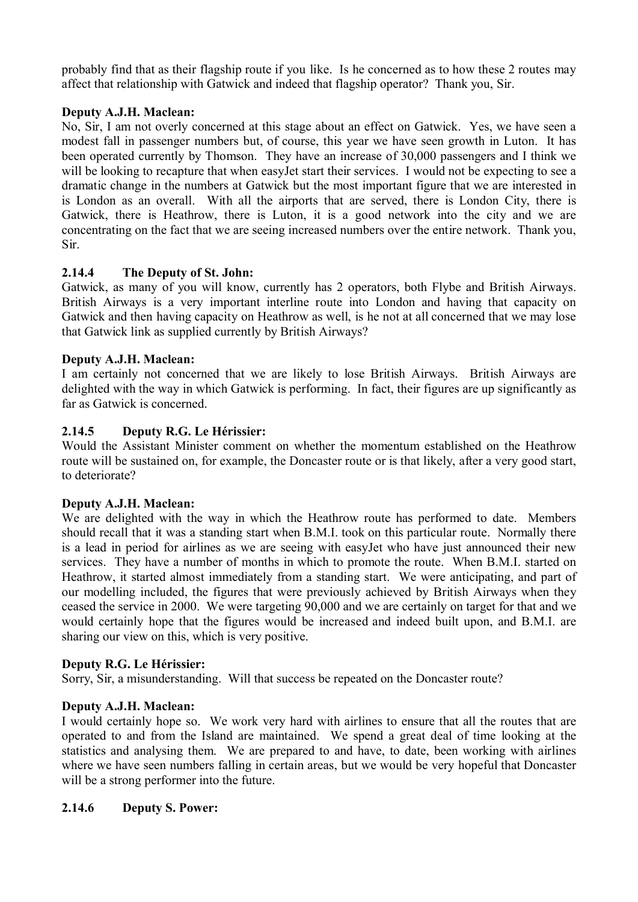probably find that as their flagship route if you like. Is he concerned as to how these 2 routes may affect that relationship with Gatwick and indeed that flagship operator? Thank you, Sir.

## **Deputy A.J.H. Maclean:**

No, Sir, I am not overly concerned at this stage about an effect on Gatwick. Yes, we have seen a modest fall in passenger numbers but, of course, this year we have seen growth in Luton. It has been operated currently by Thomson. They have an increase of 30,000 passengers and I think we will be looking to recapture that when easyJet start their services. I would not be expecting to see a dramatic change in the numbers at Gatwick but the most important figure that we are interested in is London as an overall. With all the airports that are served, there is London City, there is Gatwick, there is Heathrow, there is Luton, it is a good network into the city and we are concentrating on the fact that we are seeing increased numbers over the entire network. Thank you, Sir.

### **2.14.4 The Deputy of St. John:**

Gatwick, as many of you will know, currently has 2 operators, both Flybe and British Airways. British Airways is a very important interline route into London and having that capacity on Gatwick and then having capacity on Heathrow as well, is he not at all concerned that we may lose that Gatwick link as supplied currently by British Airways?

### **Deputy A.J.H. Maclean:**

I am certainly not concerned that we are likely to lose British Airways. British Airways are delighted with the way in which Gatwick is performing. In fact, their figures are up significantly as far as Gatwick is concerned.

### **2.14.5 Deputy R.G. Le Hérissier:**

Would the Assistant Minister comment on whether the momentum established on the Heathrow route will be sustained on, for example, the Doncaster route or is that likely, after a very good start, to deteriorate?

#### **Deputy A.J.H. Maclean:**

We are delighted with the way in which the Heathrow route has performed to date. Members should recall that it was a standing start when B.M.I. took on this particular route. Normally there is a lead in period for airlines as we are seeing with easyJet who have just announced their new services. They have a number of months in which to promote the route. When B.M.I. started on Heathrow, it started almost immediately from a standing start. We were anticipating, and part of our modelling included, the figures that were previously achieved by British Airways when they ceased the service in 2000. We were targeting 90,000 and we are certainly on target for that and we would certainly hope that the figures would be increased and indeed built upon, and B.M.I. are sharing our view on this, which is very positive.

## **Deputy R.G. Le Hérissier:**

Sorry, Sir, a misunderstanding. Will that success be repeated on the Doncaster route?

#### **Deputy A.J.H. Maclean:**

 I would certainly hope so. We work very hard with airlines to ensure that all the routes that are operated to and from the Island are maintained. We spend a great deal of time looking at the statistics and analysing them. We are prepared to and have, to date, been working with airlines where we have seen numbers falling in certain areas, but we would be very hopeful that Doncaster will be a strong performer into the future.

#### **2.14.6 Deputy S. Power:**